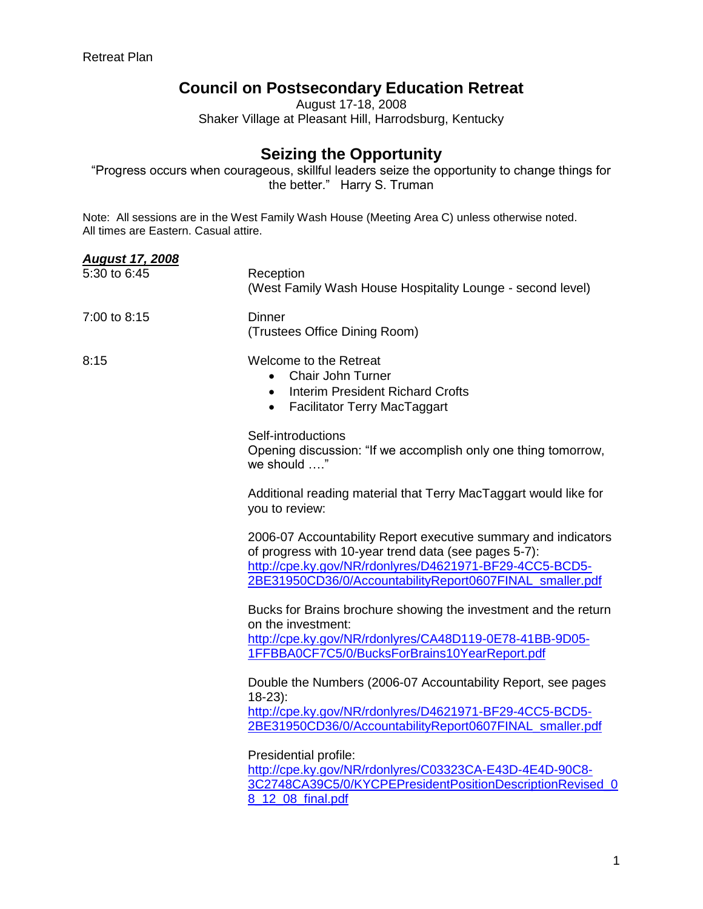## **Council on Postsecondary Education Retreat**

August 17-18, 2008 Shaker Village at Pleasant Hill, Harrodsburg, Kentucky

## **Seizing the Opportunity**

"Progress occurs when courageous, skillful leaders seize the opportunity to change things for the better." Harry S. Truman

Note: All sessions are in the West Family Wash House (Meeting Area C) unless otherwise noted. All times are Eastern. Casual attire.

| <b>August 17, 2008</b> |                                                                                                                                                                                                                                               |
|------------------------|-----------------------------------------------------------------------------------------------------------------------------------------------------------------------------------------------------------------------------------------------|
| 5:30 to 6:45           | Reception<br>(West Family Wash House Hospitality Lounge - second level)                                                                                                                                                                       |
| 7:00 to 8:15           | <b>Dinner</b><br>(Trustees Office Dining Room)                                                                                                                                                                                                |
| 8:15                   | Welcome to the Retreat<br><b>Chair John Turner</b><br><b>Interim President Richard Crofts</b><br>$\bullet$<br>Facilitator Terry MacTaggart<br>$\bullet$                                                                                       |
|                        | Self-introductions<br>Opening discussion: "If we accomplish only one thing tomorrow,<br>we should "                                                                                                                                           |
|                        | Additional reading material that Terry MacTaggart would like for<br>you to review:                                                                                                                                                            |
|                        | 2006-07 Accountability Report executive summary and indicators<br>of progress with 10-year trend data (see pages 5-7):<br>http://cpe.ky.gov/NR/rdonlyres/D4621971-BF29-4CC5-BCD5-<br>2BE31950CD36/0/AccountabilityReport0607FINAL_smaller.pdf |
|                        | Bucks for Brains brochure showing the investment and the return<br>on the investment:<br>http://cpe.ky.gov/NR/rdonlyres/CA48D119-0E78-41BB-9D05-<br>1FFBBA0CF7C5/0/BucksForBrains10YearReport.pdf                                             |
|                        | Double the Numbers (2006-07 Accountability Report, see pages<br>$18-23$ :<br>http://cpe.ky.gov/NR/rdonlyres/D4621971-BF29-4CC5-BCD5-<br>2BE31950CD36/0/AccountabilityReport0607FINAL_smaller.pdf                                              |
|                        | Presidential profile:<br>http://cpe.ky.gov/NR/rdonlyres/C03323CA-E43D-4E4D-90C8-<br>3C2748CA39C5/0/KYCPEPresidentPositionDescriptionRevised_0<br>8_12_08_final.pdf                                                                            |